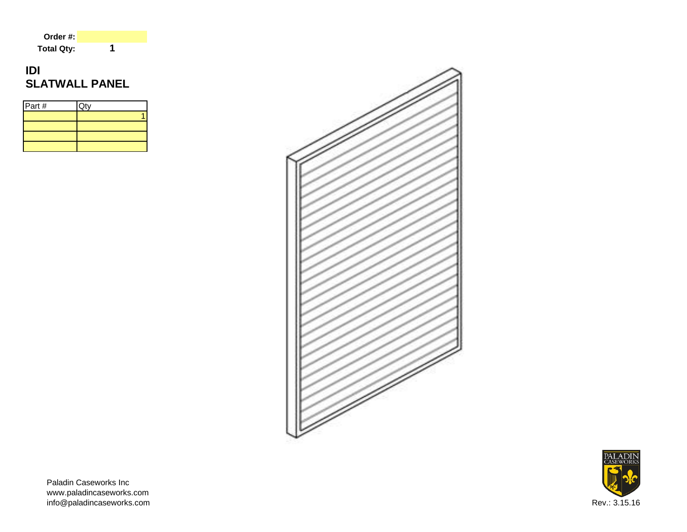| Order #:          |  |
|-------------------|--|
| <b>Total Qty:</b> |  |

# **IDI SLATWALL PANEL**

| Part # | $\overline{Q}$ ty |
|--------|-------------------|
|        |                   |
|        |                   |
|        |                   |
|        |                   |





Paladin Caseworks Inc www.paladincaseworks.com info@paladincaseworks.com Rev.: 3.15.16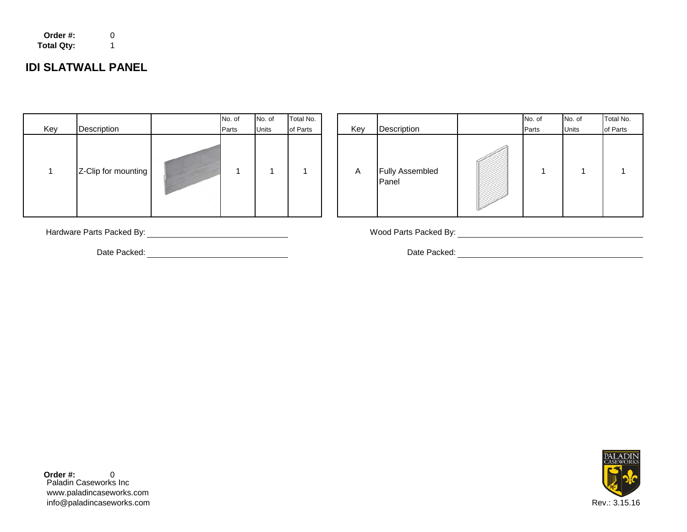| Order #:          | 0 |
|-------------------|---|
| <b>Total Qty:</b> |   |

## **IDI SLATWALL PANEL**

|     |                     | No. of | No. of       | Total No. |
|-----|---------------------|--------|--------------|-----------|
| Key | Description         | Parts  | <b>Units</b> | of Parts  |
| 1   | Z-Clip for mounting |        | 1            |           |

| Key | Description         | No. of<br>Parts | No. of<br>Units | Total No.<br>of Parts | Key | Description                     | No. of<br>Parts | No. of<br><b>Units</b> | Total No.<br>of Parts |
|-----|---------------------|-----------------|-----------------|-----------------------|-----|---------------------------------|-----------------|------------------------|-----------------------|
| -1  | Z-Clip for mounting |                 |                 |                       | A   | <b>Fully Assembled</b><br>Panel |                 |                        |                       |

Hardware Parts Packed By: Wood Parts Packed By:

Date Packed: <u>Contract Contract Contract Contract Contract Contract Contract Contract Contract Contract Contract Contract Contract Contract Contract Contract Contract Contract Contract Contract Contract Contract Contract C</u>



Paladin Caseworks Inc www.paladincaseworks.com info@paladincaseworks.com Rev.: 3.15.16 **Order #:** 0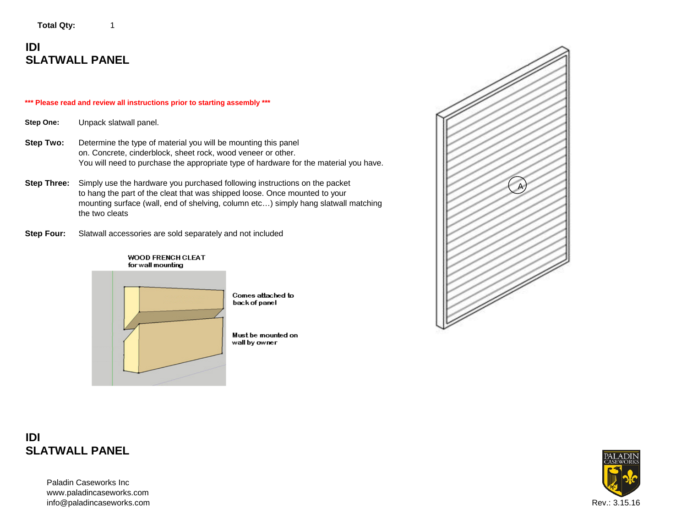Total Qty: 1

## **IDI SLATWALL PANEL**

#### **\*\*\* Please read and review all instructions prior to starting assembly \*\*\***

**Step One:** Unpack slatwall panel.

- **Step Two:** Determine the type of material you will be mounting this panel on. Concrete, cinderblock, sheet rock, wood veneer or other. You will need to purchase the appropriate type of hardware for the material you have.
- **Step Three:** Simply use the hardware you purchased following instructions on the packet to hang the part of the cleat that was shipped loose. Once mounted to your mounting surface (wall, end of shelving, column etc…) simply hang slatwall matching the two cleats

**Step Four:** Slatwall accessories are sold separately and not included



**IDI SLATWALL PANEL**

> Paladin Caseworks Inc www.paladincaseworks.com info@paladincaseworks.com Rev.: 3.15.16